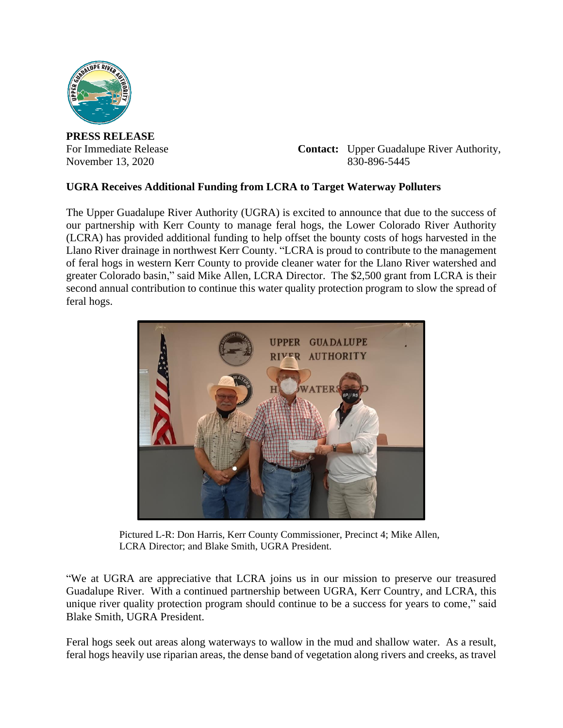

**PRESS RELEASE**

For Immediate Release **Contact:** Upper Guadalupe River Authority, November 13, 2020 830-896-5445

## **UGRA Receives Additional Funding from LCRA to Target Waterway Polluters**

The Upper Guadalupe River Authority (UGRA) is excited to announce that due to the success of our partnership with Kerr County to manage feral hogs, the Lower Colorado River Authority (LCRA) has provided additional funding to help offset the bounty costs of hogs harvested in the Llano River drainage in northwest Kerr County. "LCRA is proud to contribute to the management of feral hogs in western Kerr County to provide cleaner water for the Llano River watershed and greater Colorado basin," said Mike Allen, LCRA Director. The \$2,500 grant from LCRA is their second annual contribution to continue this water quality protection program to slow the spread of feral hogs.



Pictured L-R: Don Harris, Kerr County Commissioner, Precinct 4; Mike Allen, LCRA Director; and Blake Smith, UGRA President.

"We at UGRA are appreciative that LCRA joins us in our mission to preserve our treasured Guadalupe River. With a continued partnership between UGRA, Kerr Country, and LCRA, this unique river quality protection program should continue to be a success for years to come," said Blake Smith, UGRA President.

Feral hogs seek out areas along waterways to wallow in the mud and shallow water. As a result, feral hogs heavily use riparian areas, the dense band of vegetation along rivers and creeks, as travel